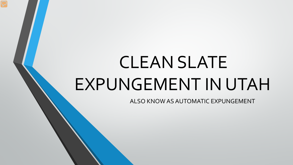# CLEAN SLATE EXPUNGEMENT IN UTAH

ALSO KNOW AS AUTOMATIC EXPUNGEMENT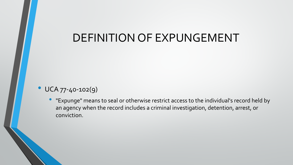#### DEFINITION OF EXPUNGEMENT

- UCA 77-40-102(9)
	- "Expunge" means to seal or otherwise restrict access to the individual's record held by an agency when the record includes a criminal investigation, detention, arrest, or conviction.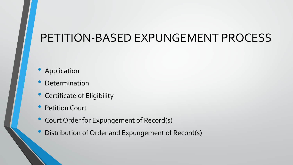## PETITION-BASED EXPUNGEMENT PROCESS

- **Application**
- **Determination**
- Certificate of Eligibility
- **Petition Court**
- Court Order for Expungement of Record(s)
- Distribution of Order and Expungement of Record(s)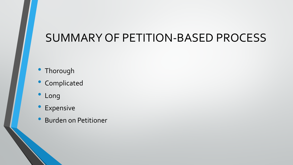## SUMMARY OF PETITION-BASED PROCESS

- Thorough
- Complicated
- Long
- Expensive
- Burden on Petitioner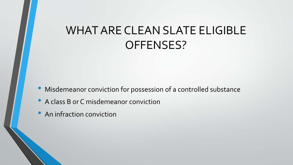## WHAT ARE CLEAN SLATE ELIGIBLE OFFENSES?

- Misdemeanor conviction for possession of a controlled substance
- A class B or C misdemeanor conviction
- An infraction conviction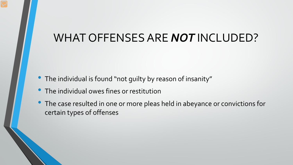#### WHAT OFFENSES ARE *NOT* INCLUDED?

- The individual is found "not guilty by reason of insanity"
- The individual owes fines or restitution
- The case resulted in one or more pleas held in abeyance or convictions for certain types of offenses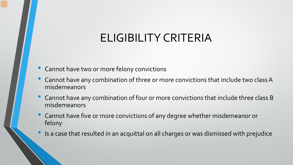## ELIGIBILITY CRITERIA

- Cannot have two or more felony convictions
- Cannot have any combination of three or more convictions that include two class A misdemeanors
- Cannot have any combination of four or more convictions that include three class B misdemeanors
- Cannot have five or more convictions of any degree whether misdemeanor or felony
- Is a case that resulted in an acquittal on all charges or was dismissed with prejudice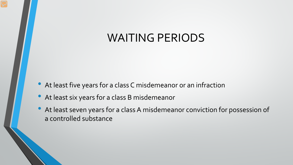#### WAITING PERIODS

- At least five years for a class C misdemeanor or an infraction
- At least six years for a class B misdemeanor
- At least seven years for a class A misdemeanor conviction for possession of a controlled substance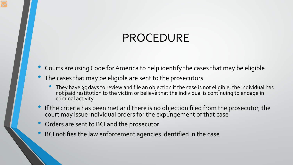## PROCEDURE

- Courts are using Code for America to help identify the cases that may be eligible
- The cases that may be eligible are sent to the prosecutors
	- They have 35 days to review and file an objection if the case is not eligible, the individual has not paid restitution to the victim or believe that the individual is continuing to engage in criminal activity
- If the criteria has been met and there is no objection filed from the prosecutor, the court may issue individual orders for the expungement of that case
- Orders are sent to BCI and the prosecutor
- BCI notifies the law enforcement agencies identified in the case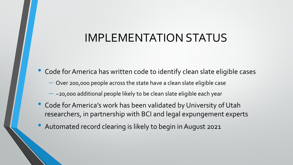#### IMPLEMENTATION STATUS

- Code for America has written code to identify clean slate eligible cases
	- ⎼ Over 200,000 people across the state have a clean slate eligible case
	- $-$  ~20,000 additional people likely to be clean slate eligible each year
- Code for America's work has been validated by University of Utah researchers, in partnership with BCI and legal expungement experts
- Automated record clearing is likely to begin in August 2021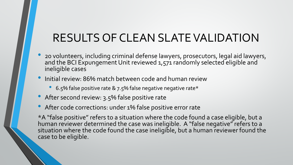## RESULTS OF CLEAN SLATE VALIDATION

- 20 volunteers, including criminal defense lawyers, prosecutors, legal aid lawyers, and the BCI Expungement Unit reviewed 1,571 randomly selected eligible and ineligible cases
- Initial review: 86% match between code and human review
	- 6.5% false positive rate & 7.5% false negative negative rate\*
- After second review: 3.5% false positive rate
- After code corrections: under 1% false positive error rate

\*A "false positive" refers to a situation where the code found a case eligible, but a human reviewer determined the case was ineligible. A "false negative" refers to a situation where the code found the case ineligible, but a human reviewer found the case to be eligible.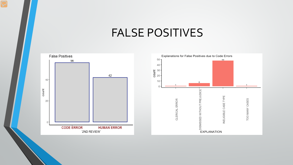#### FALSE POSITIVES

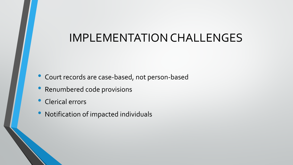#### IMPLEMENTATION CHALLENGES

- Court records are case-based, not person-based
- Renumbered code provisions
- Clerical errors
- Notification of impacted individuals